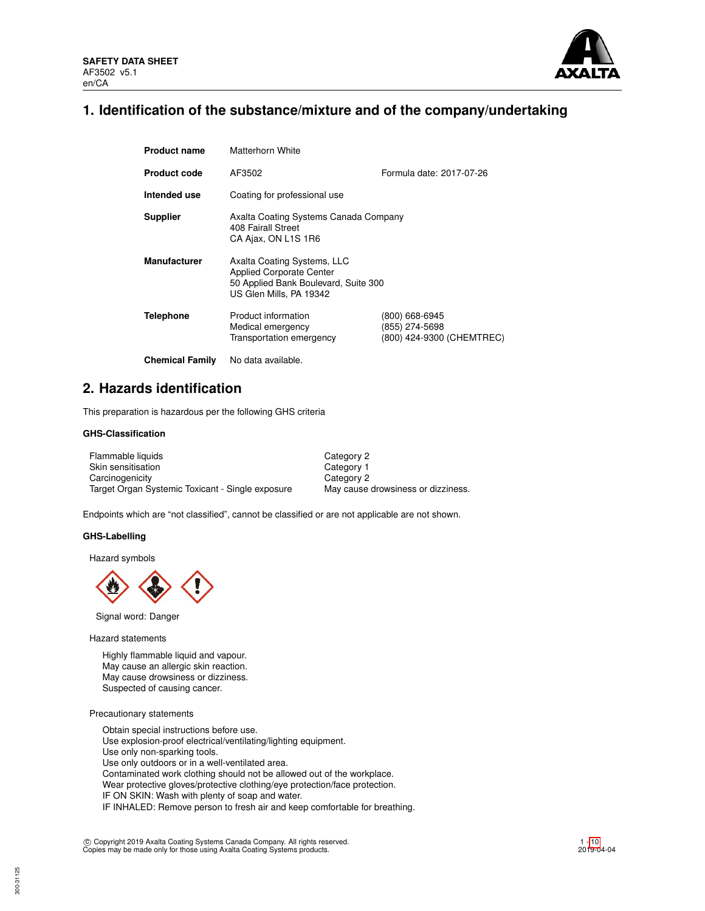

## **1. Identification of the substance/mixture and of the company/undertaking**

| <b>Product name</b>    | Matterhorn White                                                                                                                  |                                                               |  |  |  |
|------------------------|-----------------------------------------------------------------------------------------------------------------------------------|---------------------------------------------------------------|--|--|--|
| <b>Product code</b>    | AF3502                                                                                                                            | Formula date: 2017-07-26                                      |  |  |  |
| Intended use           | Coating for professional use                                                                                                      |                                                               |  |  |  |
| <b>Supplier</b>        | Axalta Coating Systems Canada Company<br>408 Fairall Street<br>CA Ajax, ON L1S 1R6                                                |                                                               |  |  |  |
| <b>Manufacturer</b>    | Axalta Coating Systems, LLC<br><b>Applied Corporate Center</b><br>50 Applied Bank Boulevard, Suite 300<br>US Glen Mills, PA 19342 |                                                               |  |  |  |
| <b>Telephone</b>       | Product information<br>Medical emergency<br>Transportation emergency                                                              | (800) 668-6945<br>(855) 274-5698<br>(800) 424-9300 (CHEMTREC) |  |  |  |
| <b>Chemical Family</b> | No data available.                                                                                                                |                                                               |  |  |  |

## **2. Hazards identification**

This preparation is hazardous per the following GHS criteria

## **GHS-Classification**

| Flammable liquids                                | Category 2                         |
|--------------------------------------------------|------------------------------------|
| Skin sensitisation                               | Category 1                         |
| Carcinogenicity                                  | Category 2                         |
| Target Organ Systemic Toxicant - Single exposure | May cause drowsiness or dizziness. |

Endpoints which are "not classified", cannot be classified or are not applicable are not shown.

#### **GHS-Labelling**

Hazard symbols



Signal word: Danger

Hazard statements

Highly flammable liquid and vapour. May cause an allergic skin reaction. May cause drowsiness or dizziness. Suspected of causing cancer.

Precautionary statements

Obtain special instructions before use. Use explosion-proof electrical/ventilating/lighting equipment. Use only non-sparking tools. Use only outdoors or in a well-ventilated area. Contaminated work clothing should not be allowed out of the workplace. Wear protective gloves/protective clothing/eye protection/face protection. IF ON SKIN: Wash with plenty of soap and water. IF INHALED: Remove person to fresh air and keep comfortable for breathing.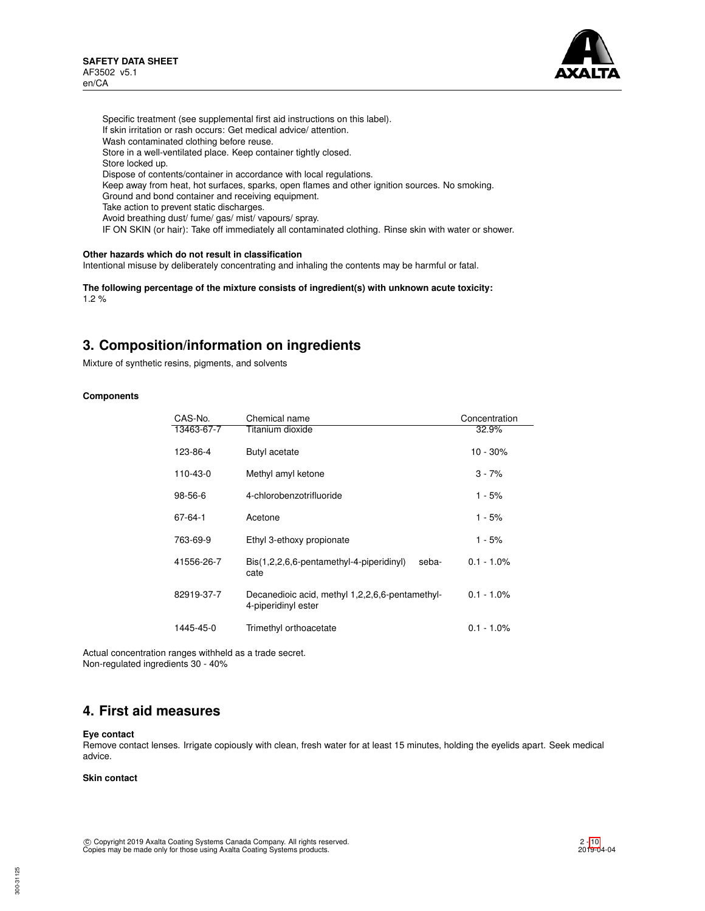

Specific treatment (see supplemental first aid instructions on this label). If skin irritation or rash occurs: Get medical advice/ attention. Wash contaminated clothing before reuse. Store in a well-ventilated place. Keep container tightly closed. Store locked up. Dispose of contents/container in accordance with local regulations. Keep away from heat, hot surfaces, sparks, open flames and other ignition sources. No smoking. Ground and bond container and receiving equipment. Take action to prevent static discharges. Avoid breathing dust/ fume/ gas/ mist/ vapours/ spray. IF ON SKIN (or hair): Take off immediately all contaminated clothing. Rinse skin with water or shower.

## **Other hazards which do not result in classification**

Intentional misuse by deliberately concentrating and inhaling the contents may be harmful or fatal.

**The following percentage of the mixture consists of ingredient(s) with unknown acute toxicity:** 1.2 %

## **3. Composition/information on ingredients**

Mixture of synthetic resins, pigments, and solvents

### **Components**

| CAS-No.       | Chemical name                                                             | Concentration |
|---------------|---------------------------------------------------------------------------|---------------|
| 13463-67-7    | Titanium dioxide                                                          | 32.9%         |
| 123-86-4      | Butyl acetate                                                             | $10 - 30%$    |
| 110-43-0      | Methyl amyl ketone                                                        | $3 - 7%$      |
| $98 - 56 - 6$ | 4-chlorobenzotrifluoride                                                  | 1 - 5%        |
| 67-64-1       | Acetone                                                                   | 1 - 5%        |
| 763-69-9      | Ethyl 3-ethoxy propionate                                                 | 1 - 5%        |
| 41556-26-7    | $\text{Bis}(1,2,2,6,6\text{-}pentamethyl-4-piperidinyl)$<br>seba-<br>cate | $0.1 - 1.0\%$ |
| 82919-37-7    | Decanedioic acid, methyl 1,2,2,6,6-pentamethyl-<br>4-piperidinyl ester    | $0.1 - 1.0\%$ |
| 1445-45-0     | Trimethyl orthoacetate                                                    | $0.1 - 1.0\%$ |

Actual concentration ranges withheld as a trade secret. Non-regulated ingredients 30 - 40%

## **4. First aid measures**

#### **Eye contact**

Remove contact lenses. Irrigate copiously with clean, fresh water for at least 15 minutes, holding the eyelids apart. Seek medical advice.

### **Skin contact**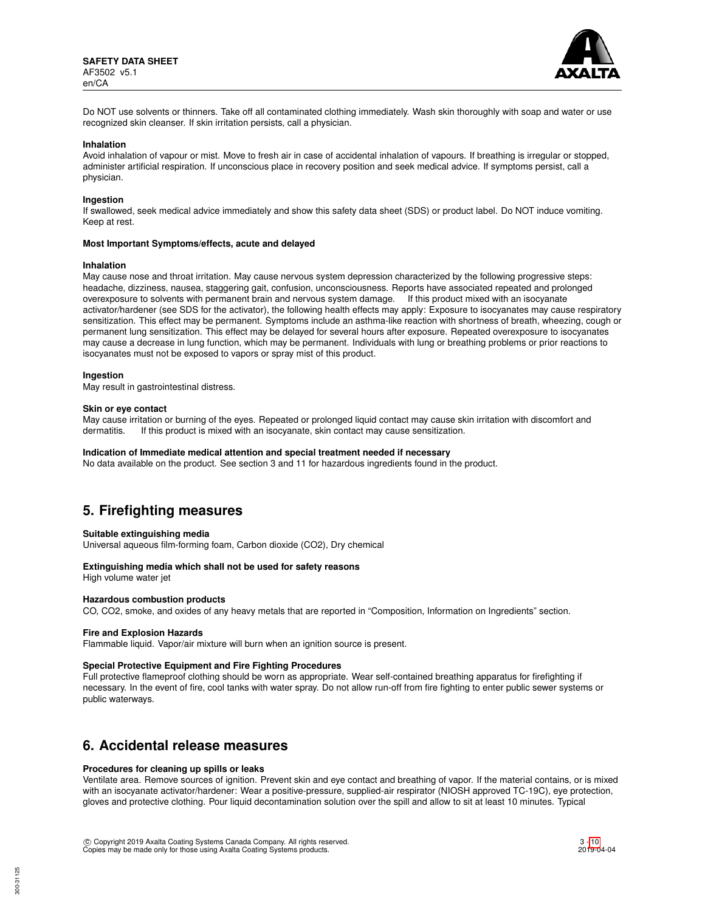

Do NOT use solvents or thinners. Take off all contaminated clothing immediately. Wash skin thoroughly with soap and water or use recognized skin cleanser. If skin irritation persists, call a physician.

#### **Inhalation**

Avoid inhalation of vapour or mist. Move to fresh air in case of accidental inhalation of vapours. If breathing is irregular or stopped, administer artificial respiration. If unconscious place in recovery position and seek medical advice. If symptoms persist, call a physician.

#### **Ingestion**

If swallowed, seek medical advice immediately and show this safety data sheet (SDS) or product label. Do NOT induce vomiting. Keep at rest.

#### **Most Important Symptoms/effects, acute and delayed**

#### **Inhalation**

May cause nose and throat irritation. May cause nervous system depression characterized by the following progressive steps: headache, dizziness, nausea, staggering gait, confusion, unconsciousness. Reports have associated repeated and prolonged overexposure to solvents with permanent brain and nervous system damage. If this product mixed with an isocyanate activator/hardener (see SDS for the activator), the following health effects may apply: Exposure to isocyanates may cause respiratory sensitization. This effect may be permanent. Symptoms include an asthma-like reaction with shortness of breath, wheezing, cough or permanent lung sensitization. This effect may be delayed for several hours after exposure. Repeated overexposure to isocyanates may cause a decrease in lung function, which may be permanent. Individuals with lung or breathing problems or prior reactions to isocyanates must not be exposed to vapors or spray mist of this product.

#### **Ingestion**

May result in gastrointestinal distress.

#### **Skin or eye contact**

May cause irritation or burning of the eyes. Repeated or prolonged liquid contact may cause skin irritation with discomfort and dermatitis. If this product is mixed with an isocyanate, skin contact may cause sensitization.

#### **Indication of Immediate medical attention and special treatment needed if necessary**

No data available on the product. See section 3 and 11 for hazardous ingredients found in the product.

## **5. Firefighting measures**

#### **Suitable extinguishing media**

Universal aqueous film-forming foam, Carbon dioxide (CO2), Dry chemical

### **Extinguishing media which shall not be used for safety reasons**

High volume water jet

## **Hazardous combustion products**

CO, CO2, smoke, and oxides of any heavy metals that are reported in "Composition, Information on Ingredients" section.

#### **Fire and Explosion Hazards**

Flammable liquid. Vapor/air mixture will burn when an ignition source is present.

#### **Special Protective Equipment and Fire Fighting Procedures**

Full protective flameproof clothing should be worn as appropriate. Wear self-contained breathing apparatus for firefighting if necessary. In the event of fire, cool tanks with water spray. Do not allow run-off from fire fighting to enter public sewer systems or public waterways.

## **6. Accidental release measures**

#### **Procedures for cleaning up spills or leaks**

Ventilate area. Remove sources of ignition. Prevent skin and eye contact and breathing of vapor. If the material contains, or is mixed with an isocyanate activator/hardener: Wear a positive-pressure, supplied-air respirator (NIOSH approved TC-19C), eye protection, gloves and protective clothing. Pour liquid decontamination solution over the spill and allow to sit at least 10 minutes. Typical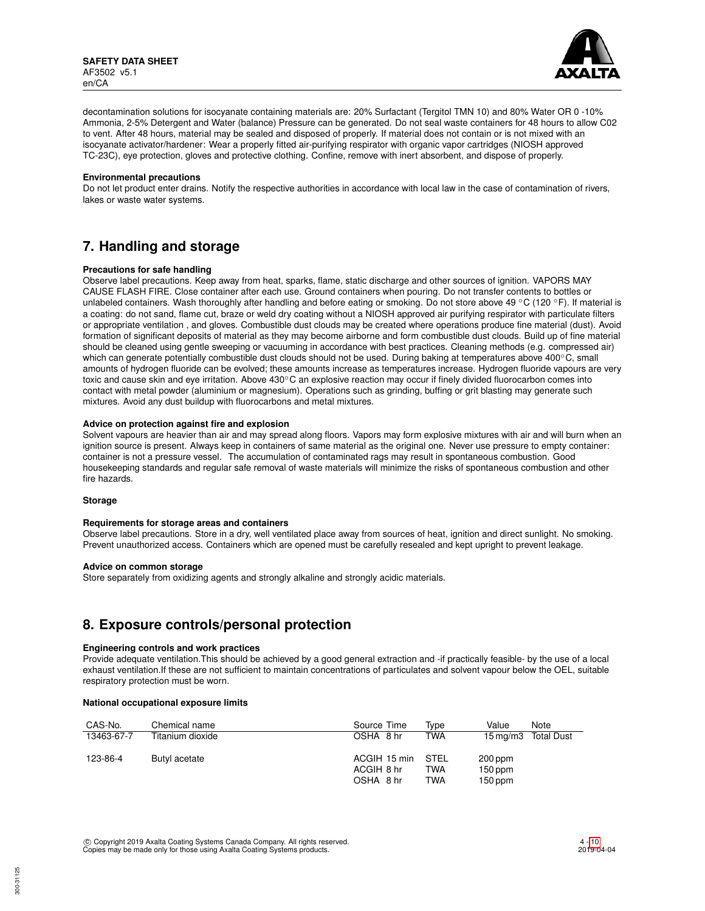

decontamination solutions for isocyanate containing materials are: 20% Surfactant (Tergitol TMN 10) and 80% Water OR 0 -10% Ammonia, 2-5% Detergent and Water (balance) Pressure can be generated. Do not seal waste containers for 48 hours to allow C02 to vent. After 48 hours, material may be sealed and disposed of properly. If material does not contain or is not mixed with an isocyanate activator/hardener: Wear a properly fitted air-purifying respirator with organic vapor cartridges (NIOSH approved TC-23C), eye protection, gloves and protective clothing. Confine, remove with inert absorbent, and dispose of properly.

#### **Environmental precautions**

Do not let product enter drains. Notify the respective authorities in accordance with local law in the case of contamination of rivers, lakes or waste water systems.

## **7. Handling and storage**

## **Precautions for safe handling**

Observe label precautions. Keep away from heat, sparks, flame, static discharge and other sources of ignition. VAPORS MAY CAUSE FLASH FIRE. Close container after each use. Ground containers when pouring. Do not transfer contents to bottles or unlabeled containers. Wash thoroughly after handling and before eating or smoking. Do not store above 49 °C (120 °F). If material is a coating: do not sand, flame cut, braze or weld dry coating without a NIOSH approved air purifying respirator with particulate filters or appropriate ventilation , and gloves. Combustible dust clouds may be created where operations produce fine material (dust). Avoid formation of significant deposits of material as they may become airborne and form combustible dust clouds. Build up of fine material should be cleaned using gentle sweeping or vacuuming in accordance with best practices. Cleaning methods (e.g. compressed air) which can generate potentially combustible dust clouds should not be used. During baking at temperatures above 400℃, small amounts of hydrogen fluoride can be evolved; these amounts increase as temperatures increase. Hydrogen fluoride vapours are very toxic and cause skin and eye irritation. Above 430℃ an explosive reaction may occur if finely divided fluorocarbon comes into contact with metal powder (aluminium or magnesium). Operations such as grinding, buffing or grit blasting may generate such mixtures. Avoid any dust buildup with fluorocarbons and metal mixtures.

## **Advice on protection against fire and explosion**

Solvent vapours are heavier than air and may spread along floors. Vapors may form explosive mixtures with air and will burn when an ignition source is present. Always keep in containers of same material as the original one. Never use pressure to empty container: container is not a pressure vessel. The accumulation of contaminated rags may result in spontaneous combustion. Good housekeeping standards and regular safe removal of waste materials will minimize the risks of spontaneous combustion and other fire hazards.

#### **Storage**

#### **Requirements for storage areas and containers**

Observe label precautions. Store in a dry, well ventilated place away from sources of heat, ignition and direct sunlight. No smoking. Prevent unauthorized access. Containers which are opened must be carefully resealed and kept upright to prevent leakage.

#### **Advice on common storage**

Store separately from oxidizing agents and strongly alkaline and strongly acidic materials.

## **8. Exposure controls/personal protection**

#### **Engineering controls and work practices**

Provide adequate ventilation.This should be achieved by a good general extraction and -if practically feasible- by the use of a local exhaust ventilation.If these are not sufficient to maintain concentrations of particulates and solvent vapour below the OEL, suitable respiratory protection must be worn.

#### **National occupational exposure limits**

| CAS-No.    | Chemical name    | Source Time  | Tvpe       | Value     | Note                |
|------------|------------------|--------------|------------|-----------|---------------------|
| 13463-67-7 | Titanium dioxide | OSHA 8 hr    | <b>TWA</b> |           | 15 mg/m3 Total Dust |
| 123-86-4   | Butyl acetate    | ACGIH 15 min | STEL       | 200 ppm   |                     |
|            |                  | ACGIH 8 hr   | TWA        | $150$ ppm |                     |
|            |                  | OSHA 8 hr    | TWA        | $150$ ppm |                     |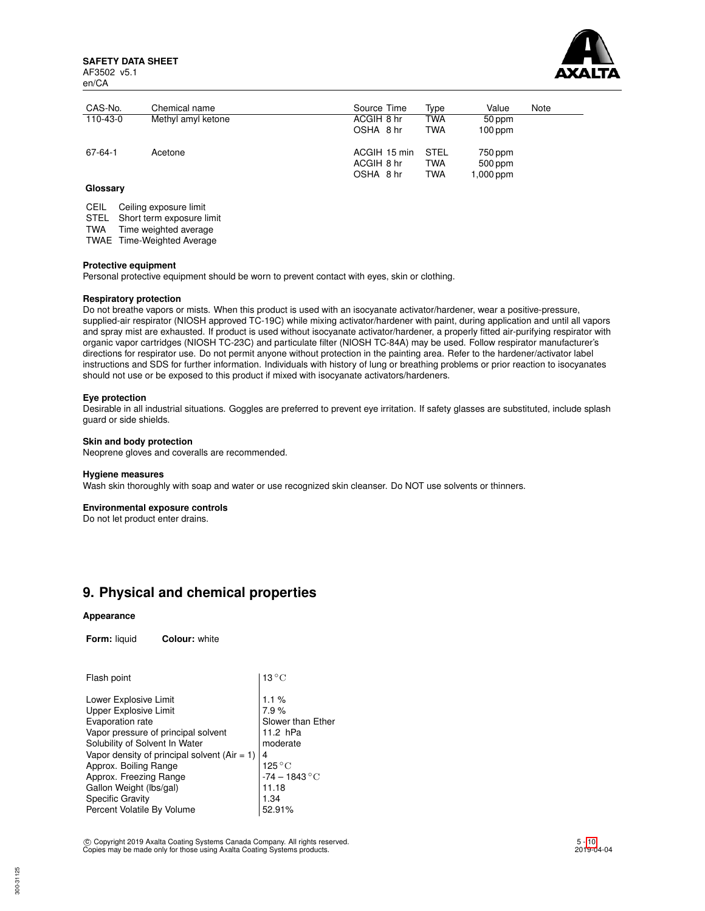**SAFETY DATA SHEET** AF3502 v5.1 en/CA



| CAS-No.  | Chemical name      | Source Time                             | Type                             | Value                           | Note |
|----------|--------------------|-----------------------------------------|----------------------------------|---------------------------------|------|
| 110-43-0 | Methyl amyl ketone | ACGIH 8 hr                              | TWA                              | 50 ppm                          |      |
|          |                    | OSHA 8 hr                               | <b>TWA</b>                       | $100$ ppm                       |      |
| 67-64-1  | Acetone            | ACGIH 15 min<br>ACGIH 8 hr<br>OSHA 8 hr | <b>STEL</b><br>TWA<br><b>TWA</b> | 750 ppm<br>500 ppm<br>1,000 ppm |      |

## **Glossary**

CEIL Ceiling exposure limit

STEL Short term exposure limit

TWA Time weighted average

TWAE Time-Weighted Average

#### **Protective equipment**

Personal protective equipment should be worn to prevent contact with eyes, skin or clothing.

### **Respiratory protection**

Do not breathe vapors or mists. When this product is used with an isocyanate activator/hardener, wear a positive-pressure, supplied-air respirator (NIOSH approved TC-19C) while mixing activator/hardener with paint, during application and until all vapors and spray mist are exhausted. If product is used without isocyanate activator/hardener, a properly fitted air-purifying respirator with organic vapor cartridges (NIOSH TC-23C) and particulate filter (NIOSH TC-84A) may be used. Follow respirator manufacturer's directions for respirator use. Do not permit anyone without protection in the painting area. Refer to the hardener/activator label instructions and SDS for further information. Individuals with history of lung or breathing problems or prior reaction to isocyanates should not use or be exposed to this product if mixed with isocyanate activators/hardeners.

#### **Eye protection**

Desirable in all industrial situations. Goggles are preferred to prevent eye irritation. If safety glasses are substituted, include splash guard or side shields.

## **Skin and body protection**

Neoprene gloves and coveralls are recommended.

#### **Hygiene measures**

Wash skin thoroughly with soap and water or use recognized skin cleanser. Do NOT use solvents or thinners.

#### **Environmental exposure controls**

Do not let product enter drains.

## **9. Physical and chemical properties**

#### **Appearance**

**Form:** liquid **Colour:** white

| Flash point                                                                                                                                                                                                                                                                                                                            | $13^{\circ}$ C                                                                                                                            |
|----------------------------------------------------------------------------------------------------------------------------------------------------------------------------------------------------------------------------------------------------------------------------------------------------------------------------------------|-------------------------------------------------------------------------------------------------------------------------------------------|
| Lower Explosive Limit<br>Upper Explosive Limit<br>Evaporation rate<br>Vapor pressure of principal solvent<br>Solubility of Solvent In Water<br>Vapor density of principal solvent ( $Air = 1$ )<br>Approx. Boiling Range<br>Approx. Freezing Range<br>Gallon Weight (lbs/gal)<br><b>Specific Gravity</b><br>Percent Volatile By Volume | 1.1%<br>7.9%<br>Slower than Ether<br>11.2 hPa<br>moderate<br>4<br>$125\,^{\circ}\mathrm{C}$<br>$-74 - 1843$ °C<br>11.18<br>1.34<br>52.91% |
|                                                                                                                                                                                                                                                                                                                                        |                                                                                                                                           |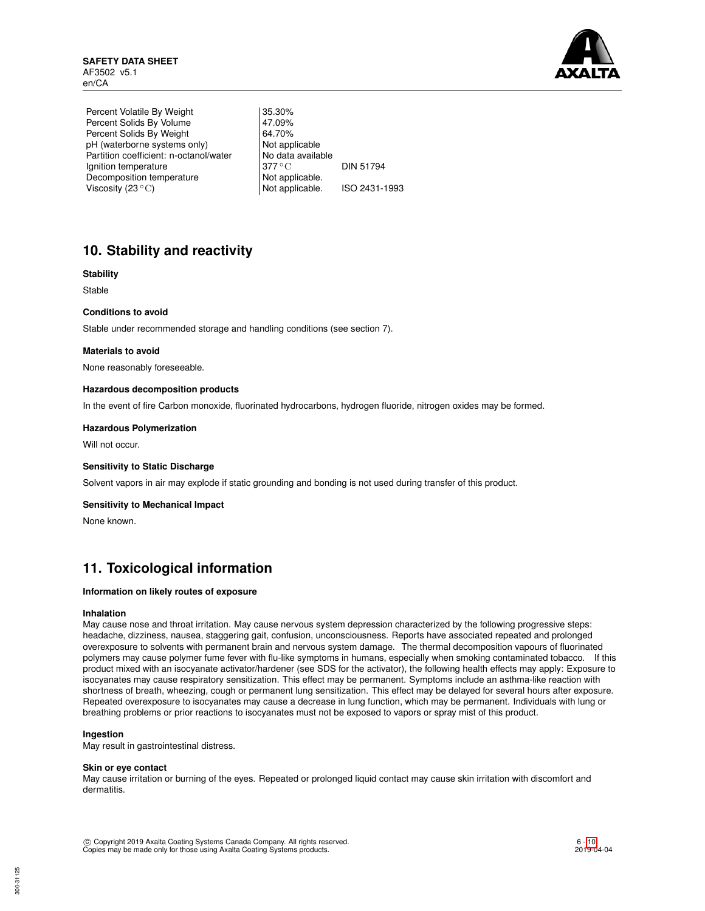

Percent Volatile By Weight | 35.30% Percent Solids By Volume 47.09%<br>Percent Solids By Weight 64.70% Percent Solids By Weight 64.70%<br>
pH (waterborne systems only) Not applicable pH (waterborne systems only) Partition coefficient: n-octanol/water | No data available Ignition temperature 377 °C DIN 51794 Decomposition temperature Not applicable.<br>Viscosity (23 °C) Not applicable. Viscosity  $(23 °C)$  Not applicable. ISO 2431-1993

# **10. Stability and reactivity**

## **Stability**

Stable

## **Conditions to avoid**

Stable under recommended storage and handling conditions (see section 7).

### **Materials to avoid**

None reasonably foreseeable.

### **Hazardous decomposition products**

In the event of fire Carbon monoxide, fluorinated hydrocarbons, hydrogen fluoride, nitrogen oxides may be formed.

### **Hazardous Polymerization**

Will not occur.

#### **Sensitivity to Static Discharge**

Solvent vapors in air may explode if static grounding and bonding is not used during transfer of this product.

#### **Sensitivity to Mechanical Impact**

None known.

## **11. Toxicological information**

### **Information on likely routes of exposure**

#### **Inhalation**

May cause nose and throat irritation. May cause nervous system depression characterized by the following progressive steps: headache, dizziness, nausea, staggering gait, confusion, unconsciousness. Reports have associated repeated and prolonged overexposure to solvents with permanent brain and nervous system damage. The thermal decomposition vapours of fluorinated polymers may cause polymer fume fever with flu-like symptoms in humans, especially when smoking contaminated tobacco. If this product mixed with an isocyanate activator/hardener (see SDS for the activator), the following health effects may apply: Exposure to isocyanates may cause respiratory sensitization. This effect may be permanent. Symptoms include an asthma-like reaction with shortness of breath, wheezing, cough or permanent lung sensitization. This effect may be delayed for several hours after exposure. Repeated overexposure to isocyanates may cause a decrease in lung function, which may be permanent. Individuals with lung or breathing problems or prior reactions to isocyanates must not be exposed to vapors or spray mist of this product.

### **Ingestion**

May result in gastrointestinal distress.

#### **Skin or eye contact**

May cause irritation or burning of the eyes. Repeated or prolonged liquid contact may cause skin irritation with discomfort and dermatitis.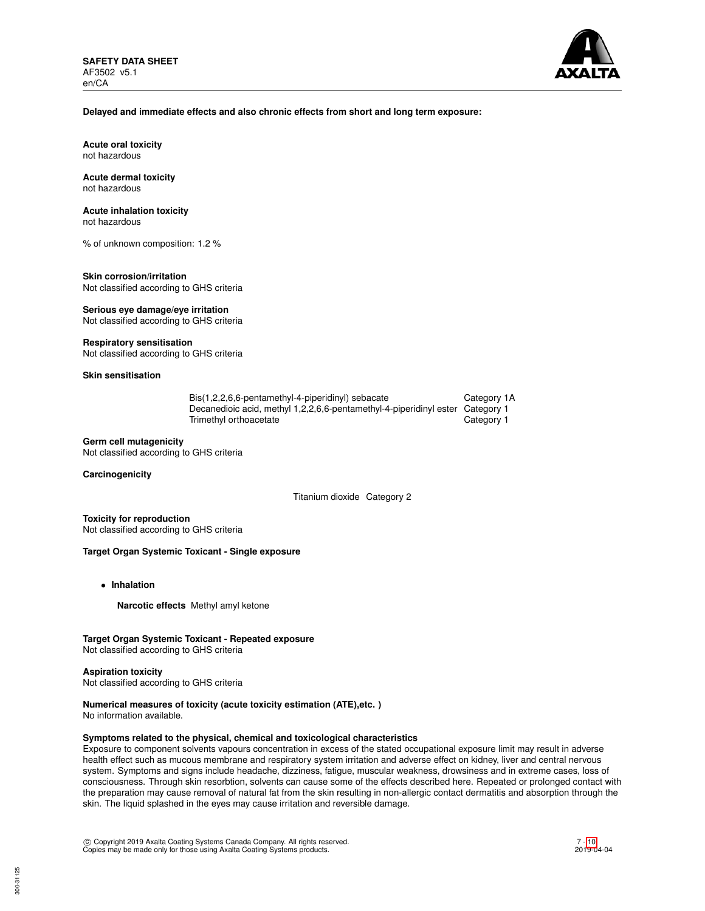

## **Delayed and immediate effects and also chronic effects from short and long term exposure:**

**Acute oral toxicity** not hazardous

#### **Acute dermal toxicity** not hazardous

## **Acute inhalation toxicity**

not hazardous

% of unknown composition: 1.2 %

#### **Skin corrosion/irritation** Not classified according to GHS criteria

**Serious eye damage/eye irritation**

Not classified according to GHS criteria

## **Respiratory sensitisation**

Not classified according to GHS criteria

## **Skin sensitisation**

| Bis(1,2,2,6,6-pentamethyl-4-piperidinyl) sebacate                             | Category 1A |
|-------------------------------------------------------------------------------|-------------|
| Decanedioic acid, methyl 1,2,2,6,6-pentamethyl-4-piperidinyl ester Category 1 |             |
| Trimethyl orthoacetate                                                        | Category 1  |

## **Germ cell mutagenicity**

Not classified according to GHS criteria

### **Carcinogenicity**

Titanium dioxide Category 2

**Toxicity for reproduction** Not classified according to GHS criteria

## **Target Organ Systemic Toxicant - Single exposure**

- **Inhalation**
	- **Narcotic effects** Methyl amyl ketone

## **Target Organ Systemic Toxicant - Repeated exposure**

Not classified according to GHS criteria

#### **Aspiration toxicity**

Not classified according to GHS criteria

## **Numerical measures of toxicity (acute toxicity estimation (ATE),etc. )**

No information available.

## **Symptoms related to the physical, chemical and toxicological characteristics**

Exposure to component solvents vapours concentration in excess of the stated occupational exposure limit may result in adverse health effect such as mucous membrane and respiratory system irritation and adverse effect on kidney, liver and central nervous system. Symptoms and signs include headache, dizziness, fatigue, muscular weakness, drowsiness and in extreme cases, loss of consciousness. Through skin resorbtion, solvents can cause some of the effects described here. Repeated or prolonged contact with the preparation may cause removal of natural fat from the skin resulting in non-allergic contact dermatitis and absorption through the skin. The liquid splashed in the eyes may cause irritation and reversible damage.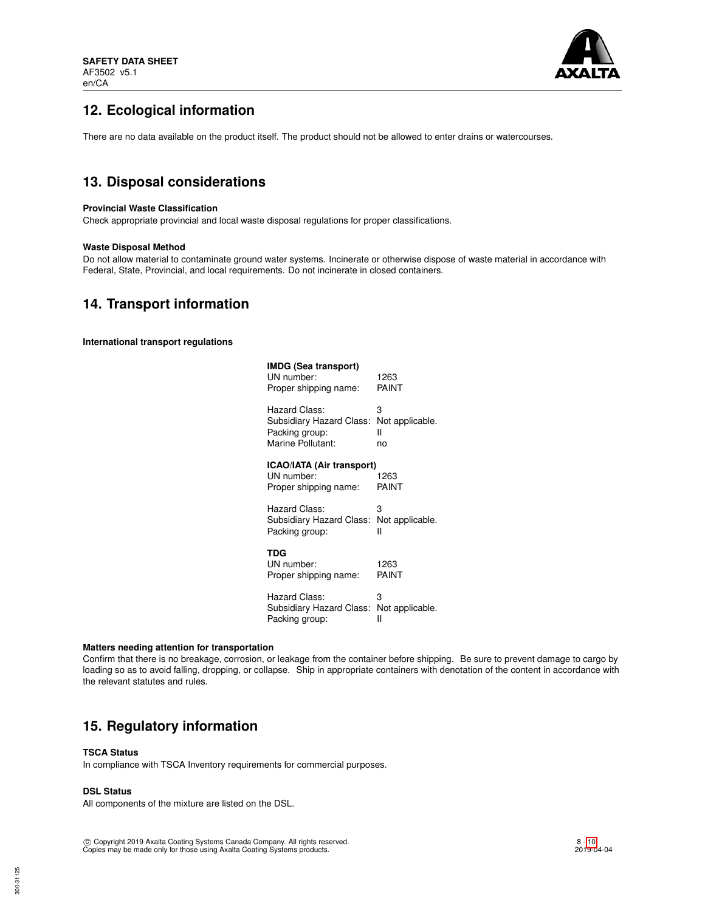

# **12. Ecological information**

There are no data available on the product itself. The product should not be allowed to enter drains or watercourses.

# **13. Disposal considerations**

### **Provincial Waste Classification**

Check appropriate provincial and local waste disposal regulations for proper classifications.

### **Waste Disposal Method**

Do not allow material to contaminate ground water systems. Incinerate or otherwise dispose of waste material in accordance with Federal, State, Provincial, and local requirements. Do not incinerate in closed containers.

## **14. Transport information**

**International transport regulations**

| IMDG (Sea transport)<br>UN number:<br>Proper shipping name:      | 1263<br>PAINT   |
|------------------------------------------------------------------|-----------------|
| Hazard Class:                                                    | 3               |
| Subsidiary Hazard Class:                                         | Not applicable. |
| Packing group:                                                   | н               |
| Marine Pollutant:                                                | no              |
| ICAO/IATA (Air transport)<br>UN number:<br>Proper shipping name: | 1263<br>PAINT   |
| Hazard Class:                                                    | 3               |
| Subsidiary Hazard Class:                                         | Not applicable. |
| Packing group:                                                   | н               |
| TDG<br>UN number:<br>Proper shipping name:                       | 1263<br>PAINT   |
| Hazard Class:                                                    | 3               |
| Subsidiary Hazard Class:                                         | Not applicable. |
| Packing group:                                                   | н               |

#### **Matters needing attention for transportation**

Confirm that there is no breakage, corrosion, or leakage from the container before shipping. Be sure to prevent damage to cargo by loading so as to avoid falling, dropping, or collapse. Ship in appropriate containers with denotation of the content in accordance with the relevant statutes and rules.

## **15. Regulatory information**

### **TSCA Status**

In compliance with TSCA Inventory requirements for commercial purposes.

## **DSL Status**

All components of the mixture are listed on the DSL.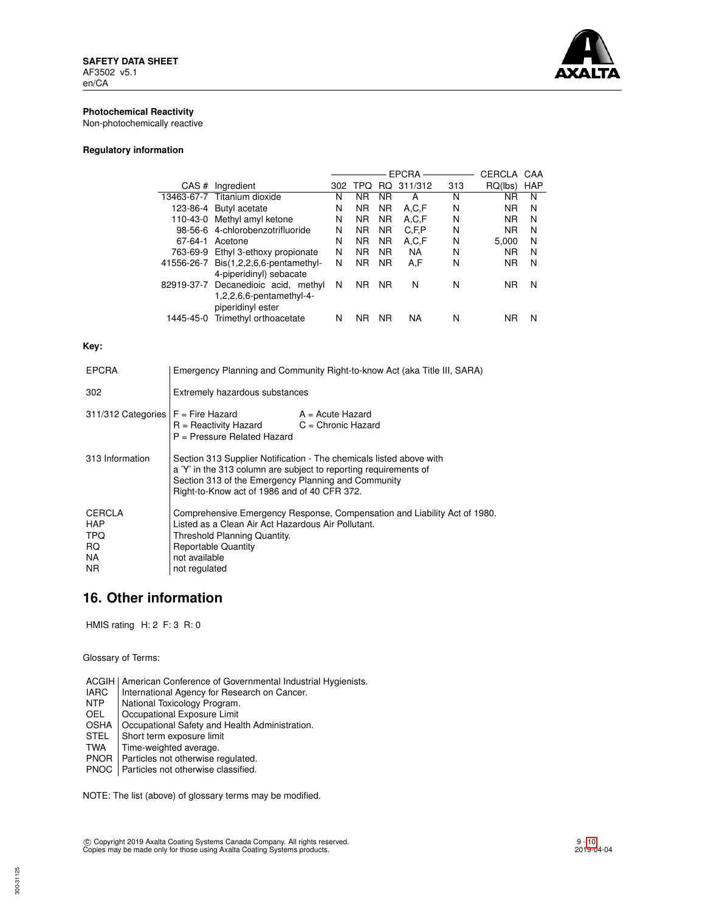

## **Photochemical Reactivity**

Non-photochemically reactive

## **Regulatory information**

|            |                                     | <b>EPCRA</b> |                |           | CERCLA    | CAA |           |            |
|------------|-------------------------------------|--------------|----------------|-----------|-----------|-----|-----------|------------|
| CAS#       | Ingredient                          | 302          | TPO            | RQ.       | 311/312   | 313 | RQ(lbs)   | <b>HAP</b> |
|            | 13463-67-7 Titanium dioxide         | N            | ΝR             | <b>NR</b> | А         | N   | ΝR        | N          |
|            | 123-86-4 Butyl acetate              | N            | <b>NR</b>      | <b>NR</b> | A.C.F     | N   | <b>NR</b> | N          |
| 110-43-0   | Methyl amyl ketone                  | N            | <b>NR</b>      | <b>NR</b> | A,C,F     | N   | <b>NR</b> | N          |
|            | 98-56-6 4-chlorobenzotrifluoride    | N            | <b>NR</b>      | <b>NR</b> | C, F, P   | N   | <b>NR</b> | N          |
| 67-64-1    | Acetone                             | N            | <b>NR</b>      | <b>NR</b> | A,C,F     | N   | 5.000     | N          |
| 763-69-9   | Ethyl 3-ethoxy propionate           | N            | N <sub>R</sub> | <b>NR</b> | <b>NA</b> | N   | <b>NR</b> | N          |
| 41556-26-7 | $Dis(1,2,2,6,6\text{-pentamethyl-}$ | N            | <b>NR</b>      | <b>NR</b> | A.F       | N   | <b>NR</b> | N          |
|            | 4-piperidinyl) sebacate             |              |                |           |           |     |           |            |
| 82919-37-7 | Decanedioic acid, methyl            | N            | <b>NR</b>      | <b>NR</b> | N         | N   | <b>NR</b> | N          |
|            | $1,2,2,6,6$ -pentamethyl-4-         |              |                |           |           |     |           |            |
|            | piperidinyl ester                   |              |                |           |           |     |           |            |
| 1445-45-0  | Trimethyl orthoacetate              | N            | ΝR             | <b>NR</b> | NA        | N   | ΝR        | N          |
|            |                                     |              |                |           |           |     |           |            |

## **Key:**

| <b>EPCRA</b>                                             | Emergency Planning and Community Right-to-know Act (aka Title III, SARA)                                                                                                                                                                       |  |  |  |
|----------------------------------------------------------|------------------------------------------------------------------------------------------------------------------------------------------------------------------------------------------------------------------------------------------------|--|--|--|
| 302                                                      | Extremely hazardous substances                                                                                                                                                                                                                 |  |  |  |
| $311/312$ Categories $F =$ Fire Hazard                   | $A = Acute$ Hazard<br>$R =$ Reactivity Hazard $C =$ Chronic Hazard<br>$P =$ Pressure Related Hazard                                                                                                                                            |  |  |  |
| 313 Information                                          | Section 313 Supplier Notification - The chemicals listed above with<br>a 'Y' in the 313 column are subject to reporting requirements of<br>Section 313 of the Emergency Planning and Community<br>Right-to-Know act of 1986 and of 40 CFR 372. |  |  |  |
| <b>CERCLA</b><br><b>HAP</b><br>TPQ.<br>RQ.<br>NA.<br>NR. | Comprehensive Emergency Response, Compensation and Liability Act of 1980.<br>Listed as a Clean Air Act Hazardous Air Pollutant.<br>Threshold Planning Quantity.<br><b>Reportable Quantity</b><br>not available<br>not regulated                |  |  |  |

# **16. Other information**

HMIS rating H: 2 F: 3 R: 0

Glossary of Terms:

ACGIH | American Conference of Governmental Industrial Hygienists.<br>
IARC | International Agency for Research on Cancer.

- IARC | International Agency for Research on Cancer.<br>
NTP | National Toxicology Program.
- NTP National Toxicology Program.<br>OEL Cocupational Exposure Limit
- Occupational Exposure Limit

OSHA | Occupational Safety and Health Administration.<br>STEL | Short term exposure limit

- STEL Short term exposure limit<br>TWA Time-weighted average.
- Time-weighted average.
- PNOR Particles not otherwise regulated.
- PNOC Particles not otherwise classified.

NOTE: The list (above) of glossary terms may be modified.